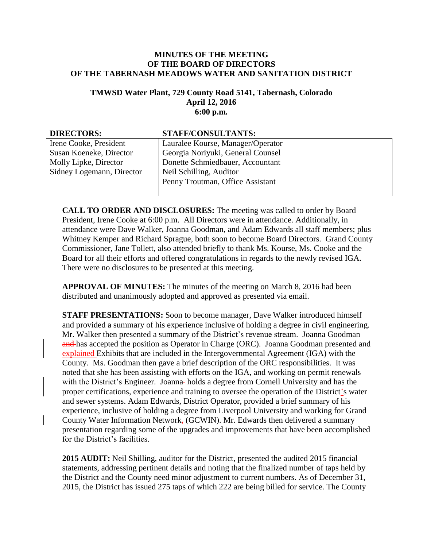## **MINUTES OF THE MEETING OF THE BOARD OF DIRECTORS OF THE TABERNASH MEADOWS WATER AND SANITATION DISTRICT**

## **TMWSD Water Plant, 729 County Road 5141, Tabernash, Colorado April 12, 2016 6:00 p.m.**

| <b>DIRECTORS:</b>         | <b>STAFF/CONSULTANTS:</b>         |
|---------------------------|-----------------------------------|
| Irene Cooke, President    | Lauralee Kourse, Manager/Operator |
| Susan Koeneke, Director   | Georgia Noriyuki, General Counsel |
| Molly Lipke, Director     | Donette Schmiedbauer, Accountant  |
| Sidney Logemann, Director | Neil Schilling, Auditor           |
|                           | Penny Troutman, Office Assistant  |
|                           |                                   |

**CALL TO ORDER AND DISCLOSURES:** The meeting was called to order by Board President, Irene Cooke at 6:00 p.m. All Directors were in attendance. Additionally, in attendance were Dave Walker, Joanna Goodman, and Adam Edwards all staff members; plus Whitney Kemper and Richard Sprague, both soon to become Board Directors. Grand County Commissioner, Jane Tollett, also attended briefly to thank Ms. Kourse, Ms. Cooke and the Board for all their efforts and offered congratulations in regards to the newly revised IGA. There were no disclosures to be presented at this meeting.

**APPROVAL OF MINUTES:** The minutes of the meeting on March 8, 2016 had been distributed and unanimously adopted and approved as presented via email.

**STAFF PRESENTATIONS:** Soon to become manager, Dave Walker introduced himself and provided a summary of his experience inclusive of holding a degree in civil engineering. Mr. Walker then presented a summary of the District's revenue stream. Joanna Goodman and has accepted the position as Operator in Charge (ORC). Joanna Goodman presented and explained Exhibits that are included in the Intergovernmental Agreement (IGA) with the County. Ms. Goodman then gave a brief description of the ORC responsibilities. It was noted that she has been assisting with efforts on the IGA, and working on permit renewals with the District's Engineer. Joanna-holds a degree from Cornell University and has the proper certifications, experience and training to oversee the operation of the District's water and sewer systems. Adam Edwards, District Operator, provided a brief summary of his experience, inclusive of holding a degree from Liverpool University and working for Grand County Water Information Network, (GCWIN). Mr. Edwards then delivered a summary presentation regarding some of the upgrades and improvements that have been accomplished for the District's facilities.

**2015 AUDIT:** Neil Shilling, auditor for the District, presented the audited 2015 financial statements, addressing pertinent details and noting that the finalized number of taps held by the District and the County need minor adjustment to current numbers. As of December 31, 2015, the District has issued 275 taps of which 222 are being billed for service. The County